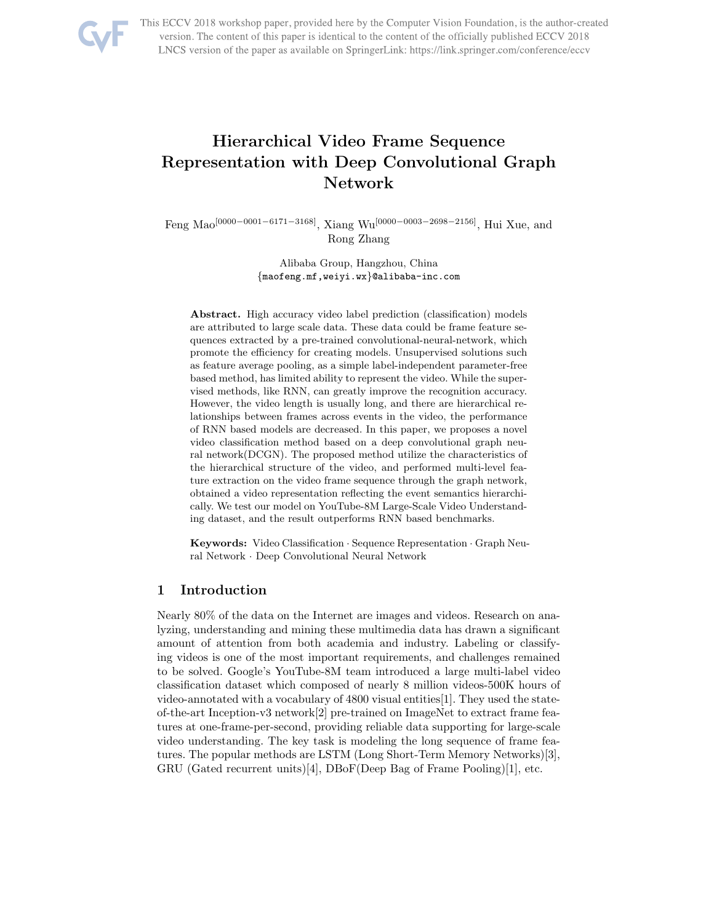

This ECCV 2018 workshop paper, provided here by the Computer Vision Foundation, is the author-created version. The content of this paper is identical to the content of the officially published ECCV 2018 LNCS version of the paper as available on SpringerLink: https://link.springer.com/conference/eccv

# Hierarchical Video Frame Sequence Representation with Deep Convolutional Graph Network

Feng Mao[0000−0001−6171−3168], Xiang Wu[0000−0003−2698−2156], Hui Xue, and Rong Zhang

> Alibaba Group, Hangzhou, China {maofeng.mf,weiyi.wx}@alibaba-inc.com

Abstract. High accuracy video label prediction (classification) models are attributed to large scale data. These data could be frame feature sequences extracted by a pre-trained convolutional-neural-network, which promote the efficiency for creating models. Unsupervised solutions such as feature average pooling, as a simple label-independent parameter-free based method, has limited ability to represent the video. While the supervised methods, like RNN, can greatly improve the recognition accuracy. However, the video length is usually long, and there are hierarchical relationships between frames across events in the video, the performance of RNN based models are decreased. In this paper, we proposes a novel video classification method based on a deep convolutional graph neural network(DCGN). The proposed method utilize the characteristics of the hierarchical structure of the video, and performed multi-level feature extraction on the video frame sequence through the graph network, obtained a video representation reflecting the event semantics hierarchically. We test our model on YouTube-8M Large-Scale Video Understanding dataset, and the result outperforms RNN based benchmarks.

Keywords: Video Classification · Sequence Representation · Graph Neural Network · Deep Convolutional Neural Network

# 1 Introduction

Nearly 80% of the data on the Internet are images and videos. Research on analyzing, understanding and mining these multimedia data has drawn a significant amount of attention from both academia and industry. Labeling or classifying videos is one of the most important requirements, and challenges remained to be solved. Google's YouTube-8M team introduced a large multi-label video classification dataset which composed of nearly 8 million videos-500K hours of video-annotated with a vocabulary of 4800 visual entities[1]. They used the stateof-the-art Inception-v3 network[2] pre-trained on ImageNet to extract frame features at one-frame-per-second, providing reliable data supporting for large-scale video understanding. The key task is modeling the long sequence of frame features. The popular methods are LSTM (Long Short-Term Memory Networks)[3], GRU (Gated recurrent units)[4], DBoF(Deep Bag of Frame Pooling)[1], etc.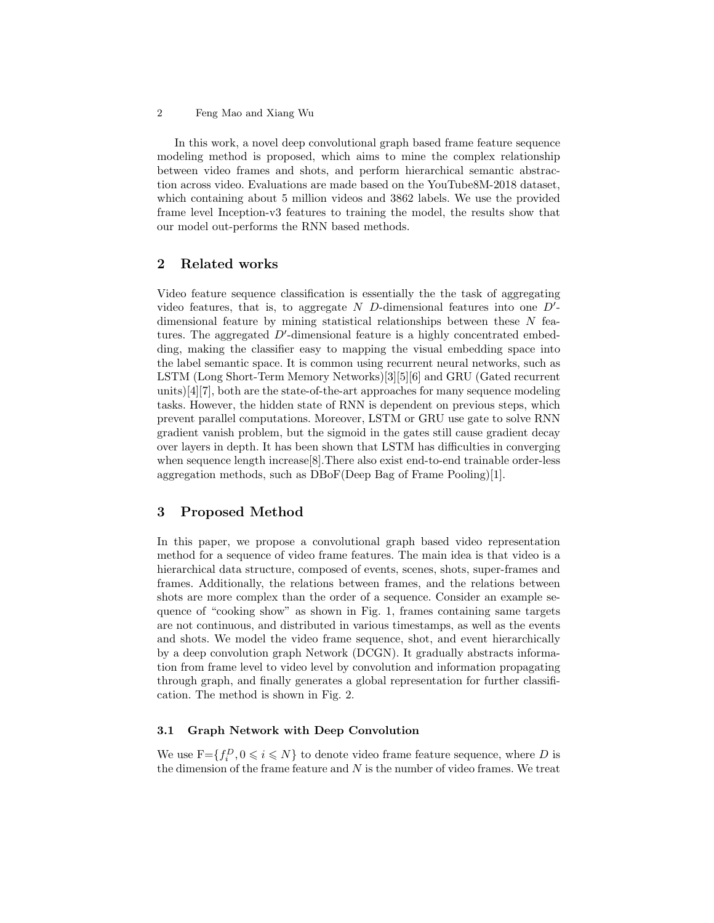In this work, a novel deep convolutional graph based frame feature sequence modeling method is proposed, which aims to mine the complex relationship between video frames and shots, and perform hierarchical semantic abstraction across video. Evaluations are made based on the YouTube8M-2018 dataset, which containing about 5 million videos and 3862 labels. We use the provided frame level Inception-v3 features to training the model, the results show that our model out-performs the RNN based methods.

# 2 Related works

Video feature sequence classification is essentially the the task of aggregating video features, that is, to aggregate  $N$  D-dimensional features into one  $D'$ dimensional feature by mining statistical relationships between these  $N$  features. The aggregated  $D'$ -dimensional feature is a highly concentrated embedding, making the classifier easy to mapping the visual embedding space into the label semantic space. It is common using recurrent neural networks, such as LSTM (Long Short-Term Memory Networks)[3][5][6] and GRU (Gated recurrent units)[4][7], both are the state-of-the-art approaches for many sequence modeling tasks. However, the hidden state of RNN is dependent on previous steps, which prevent parallel computations. Moreover, LSTM or GRU use gate to solve RNN gradient vanish problem, but the sigmoid in the gates still cause gradient decay over layers in depth. It has been shown that LSTM has difficulties in converging when sequence length increase[8].There also exist end-to-end trainable order-less aggregation methods, such as DBoF(Deep Bag of Frame Pooling)[1].

# 3 Proposed Method

In this paper, we propose a convolutional graph based video representation method for a sequence of video frame features. The main idea is that video is a hierarchical data structure, composed of events, scenes, shots, super-frames and frames. Additionally, the relations between frames, and the relations between shots are more complex than the order of a sequence. Consider an example sequence of "cooking show" as shown in Fig. 1, frames containing same targets are not continuous, and distributed in various timestamps, as well as the events and shots. We model the video frame sequence, shot, and event hierarchically by a deep convolution graph Network (DCGN). It gradually abstracts information from frame level to video level by convolution and information propagating through graph, and finally generates a global representation for further classification. The method is shown in Fig. 2.

# 3.1 Graph Network with Deep Convolution

We use  $F = \{f_i^D, 0 \leq i \leq N\}$  to denote video frame feature sequence, where D is the dimension of the frame feature and  $N$  is the number of video frames. We treat

<sup>2</sup> Feng Mao and Xiang Wu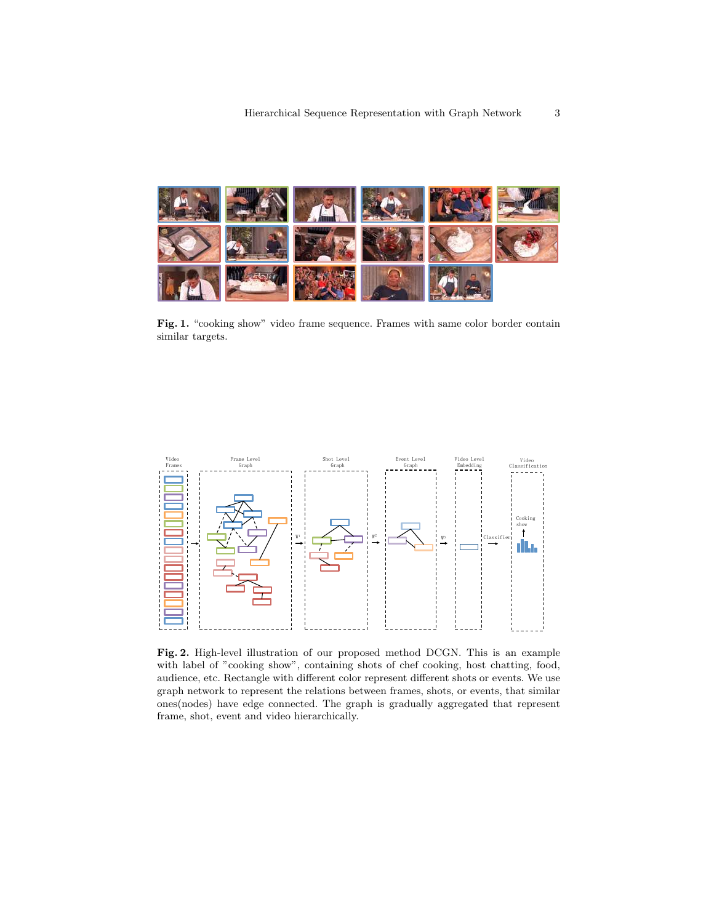

Fig. 1. "cooking show" video frame sequence. Frames with same color border contain similar targets.



Fig. 2. High-level illustration of our proposed method DCGN. This is an example with label of "cooking show", containing shots of chef cooking, host chatting, food, audience, etc. Rectangle with different color represent different shots or events. We use graph network to represent the relations between frames, shots, or events, that similar ones(nodes) have edge connected. The graph is gradually aggregated that represent frame, shot, event and video hierarchically.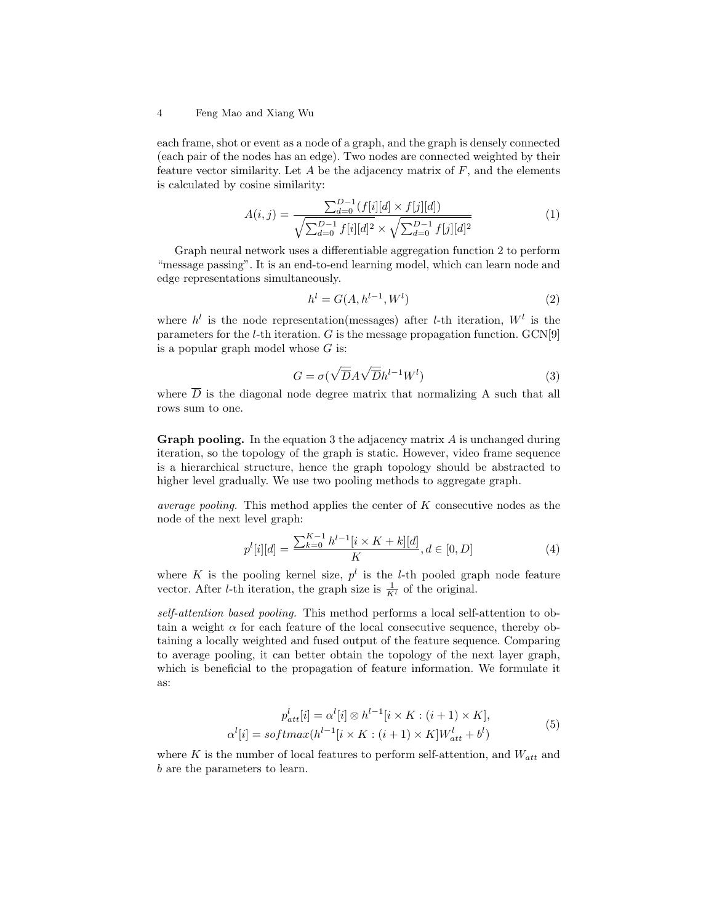#### 4 Feng Mao and Xiang Wu

each frame, shot or event as a node of a graph, and the graph is densely connected (each pair of the nodes has an edge). Two nodes are connected weighted by their feature vector similarity. Let  $A$  be the adjacency matrix of  $F$ , and the elements is calculated by cosine similarity:

$$
A(i,j) = \frac{\sum_{d=0}^{D-1} (f[i][d] \times f[j][d])}{\sqrt{\sum_{d=0}^{D-1} f[i][d]^2} \times \sqrt{\sum_{d=0}^{D-1} f[j][d]^2}}
$$
(1)

Graph neural network uses a differentiable aggregation function 2 to perform "message passing". It is an end-to-end learning model, which can learn node and edge representations simultaneously.

$$
h^{l} = G(A, h^{l-1}, W^{l})
$$
\n(2)

where  $h^l$  is the node representation(messages) after *l*-th iteration,  $W^l$  is the parameters for the *l*-th iteration.  $G$  is the message propagation function.  $GCN[9]$ is a popular graph model whose  $G$  is:

$$
G = \sigma(\sqrt{\overline{D}}A\sqrt{\overline{D}}h^{l-1}W^l)
$$
\n(3)

where  $\overline{D}$  is the diagonal node degree matrix that normalizing A such that all rows sum to one.

**Graph pooling.** In the equation 3 the adjacency matrix  $\vec{A}$  is unchanged during iteration, so the topology of the graph is static. However, video frame sequence is a hierarchical structure, hence the graph topology should be abstracted to higher level gradually. We use two pooling methods to aggregate graph.

*average pooling.* This method applies the center of  $K$  consecutive nodes as the node of the next level graph:

$$
p^{l}[i][d] = \frac{\sum_{k=0}^{K-1} h^{l-1}[i \times K + k][d]}{K}, d \in [0, D]
$$
\n<sup>(4)</sup>

where K is the pooling kernel size,  $p^l$  is the *l*-th pooled graph node feature vector. After *l*-th iteration, the graph size is  $\frac{1}{K^l}$  of the original.

self-attention based pooling. This method performs a local self-attention to obtain a weight  $\alpha$  for each feature of the local consecutive sequence, thereby obtaining a locally weighted and fused output of the feature sequence. Comparing to average pooling, it can better obtain the topology of the next layer graph, which is beneficial to the propagation of feature information. We formulate it as:

$$
p_{att}^{l}[i] = \alpha^{l}[i] \otimes h^{l-1}[i \times K : (i+1) \times K],
$$
  
\n
$$
\alpha^{l}[i] = softmax(h^{l-1}[i \times K : (i+1) \times K]W_{att}^{l} + b^{l})
$$
\n
$$
(5)
$$

where K is the number of local features to perform self-attention, and  $W_{att}$  and b are the parameters to learn.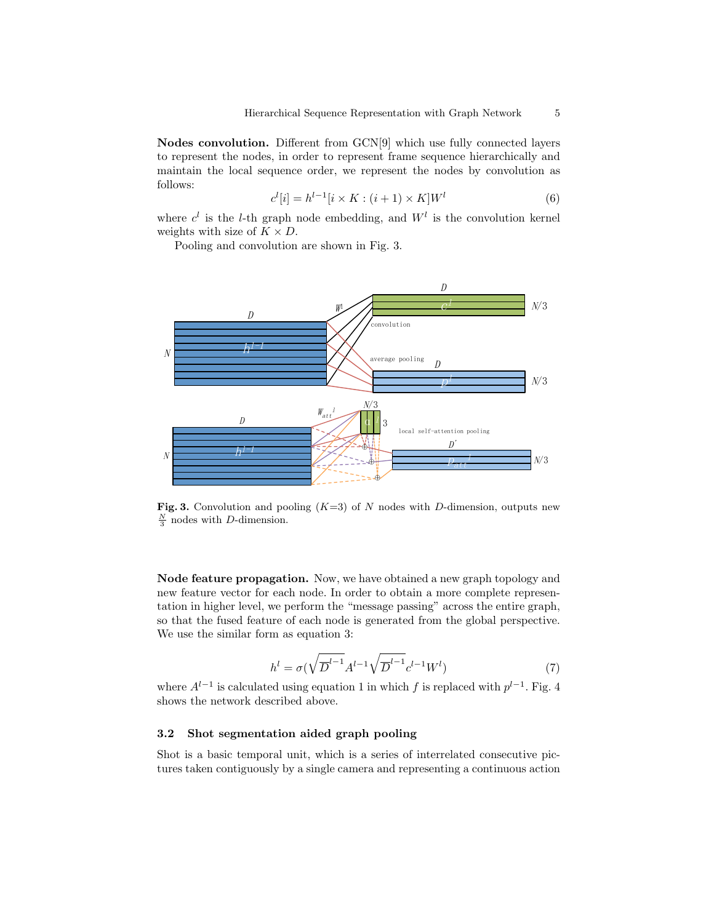Nodes convolution. Different from GCN[9] which use fully connected layers to represent the nodes, in order to represent frame sequence hierarchically and maintain the local sequence order, we represent the nodes by convolution as follows:

$$
c^{l}[i] = h^{l-1}[i \times K : (i+1) \times K]W^{l}
$$
\n
$$
(6)
$$

where  $c^l$  is the *l*-th graph node embedding, and  $W^l$  is the convolution kernel weights with size of  $K \times D$ .

Pooling and convolution are shown in Fig. 3.



Fig. 3. Convolution and pooling  $(K=3)$  of N nodes with D-dimension, outputs new  $\frac{N}{3}$  nodes with D-dimension.

Node feature propagation. Now, we have obtained a new graph topology and new feature vector for each node. In order to obtain a more complete representation in higher level, we perform the "message passing" across the entire graph, so that the fused feature of each node is generated from the global perspective. We use the similar form as equation 3:

$$
h^{l} = \sigma(\sqrt{\overline{D}^{l-1}} A^{l-1} \sqrt{\overline{D}^{l-1}} c^{l-1} W^{l})
$$
\n(7)

where  $A^{l-1}$  is calculated using equation 1 in which f is replaced with  $p^{l-1}$ . Fig. 4 shows the network described above.

#### 3.2 Shot segmentation aided graph pooling

Shot is a basic temporal unit, which is a series of interrelated consecutive pictures taken contiguously by a single camera and representing a continuous action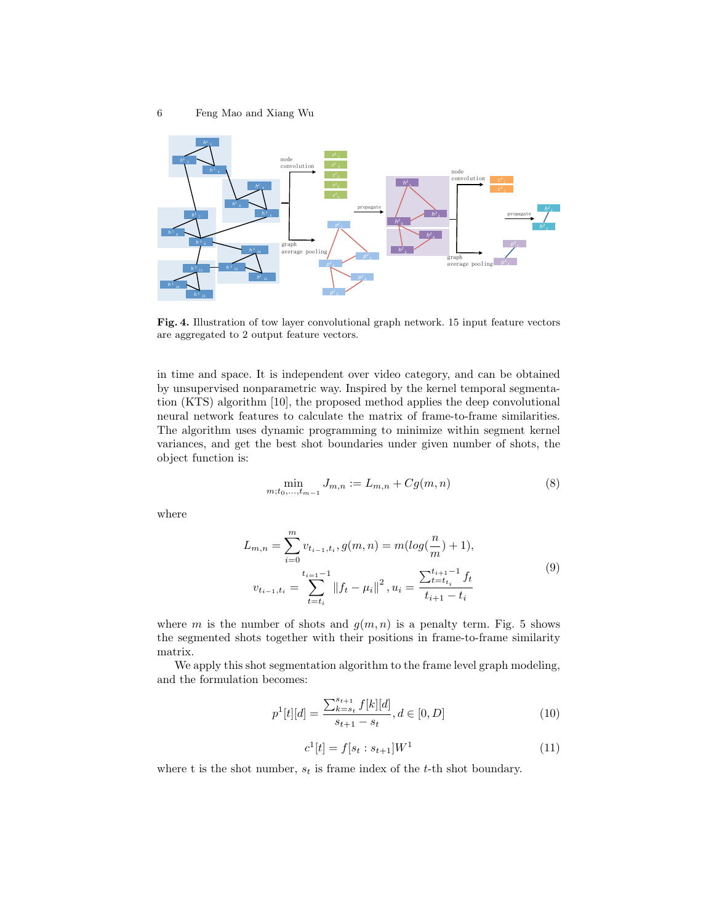

Fig. 4. Illustration of tow layer convolutional graph network. 15 input feature vectors are aggregated to 2 output feature vectors.

in time and space. It is independent over video category, and can be obtained by unsupervised nonparametric way. Inspired by the kernel temporal segmentation (KTS) algorithm [10], the proposed method applies the deep convolutional neural network features to calculate the matrix of frame-to-frame similarities. The algorithm uses dynamic programming to minimize within segment kernel variances, and get the best shot boundaries under given number of shots, the object function is:

$$
\min_{m; t_0, \dots, t_{m-1}} J_{m,n} := L_{m,n} + Cg(m,n) \tag{8}
$$

where

$$
L_{m,n} = \sum_{i=0}^{m} v_{t_{i-1},t_i}, g(m,n) = m(\log(\frac{n}{m}) + 1),
$$
  

$$
v_{t_{i-1},t_i} = \sum_{t=t_i}^{t_{i-1}-1} ||f_t - \mu_i||^2, u_i = \frac{\sum_{t=t_{t_i}}^{t_{i+1}-1} f_t}{t_{i+1} - t_i}
$$
 (9)

where m is the number of shots and  $q(m, n)$  is a penalty term. Fig. 5 shows the segmented shots together with their positions in frame-to-frame similarity matrix.

We apply this shot segmentation algorithm to the frame level graph modeling, and the formulation becomes:

$$
p^{1}[t][d] = \frac{\sum_{k=s_t}^{s_{t+1}} f[k][d]}{s_{t+1} - s_t}, d \in [0, D]
$$
\n(10)

$$
c^{1}[t] = f[s_{t} : s_{t+1}]W^{1}
$$
\n(11)

where t is the shot number,  $s_t$  is frame index of the t-th shot boundary.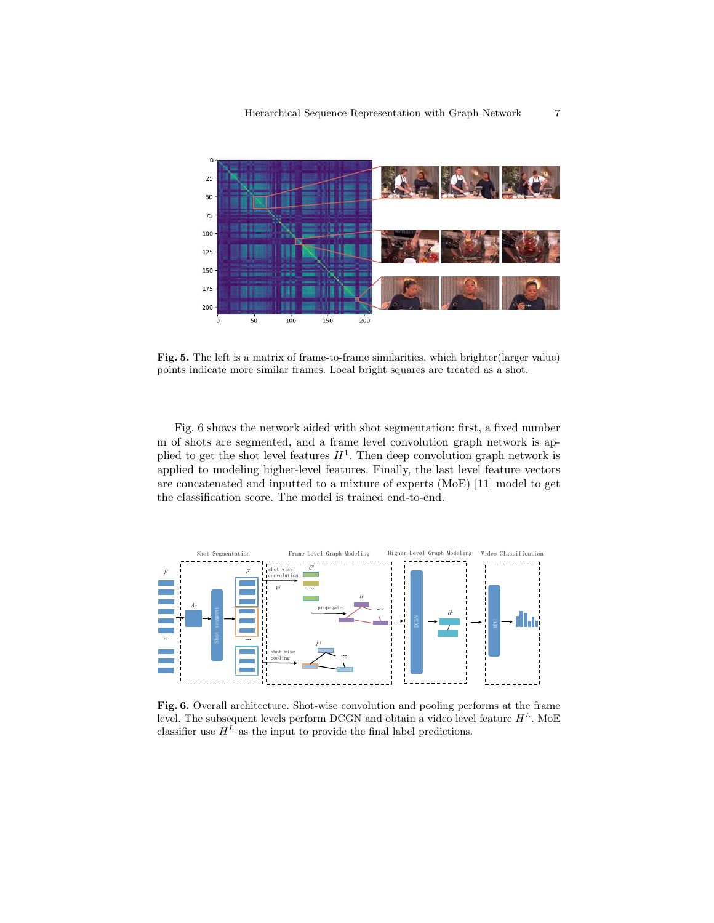

Fig. 5. The left is a matrix of frame-to-frame similarities, which brighter(larger value) points indicate more similar frames. Local bright squares are treated as a shot.

Fig. 6 shows the network aided with shot segmentation: first, a fixed number m of shots are segmented, and a frame level convolution graph network is applied to get the shot level features  $H^1$ . Then deep convolution graph network is applied to modeling higher-level features. Finally, the last level feature vectors are concatenated and inputted to a mixture of experts (MoE) [11] model to get the classification score. The model is trained end-to-end.



Fig. 6. Overall architecture. Shot-wise convolution and pooling performs at the frame level. The subsequent levels perform DCGN and obtain a video level feature  $H^L$ . MoE classifier use  $H^L$  as the input to provide the final label predictions.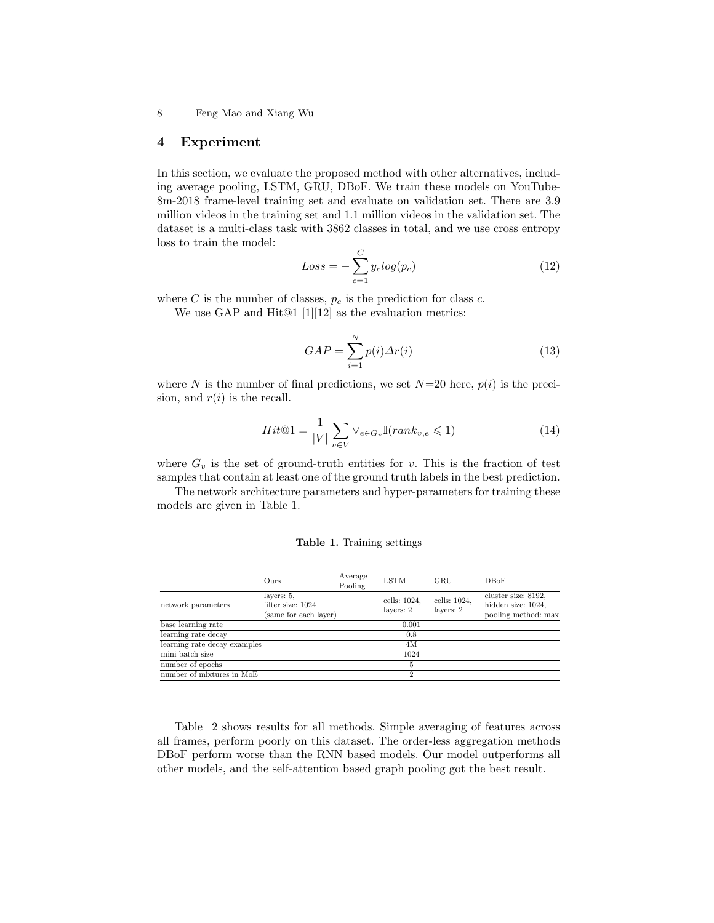8 Feng Mao and Xiang Wu

### 4 Experiment

In this section, we evaluate the proposed method with other alternatives, including average pooling, LSTM, GRU, DBoF. We train these models on YouTube-8m-2018 frame-level training set and evaluate on validation set. There are 3.9 million videos in the training set and 1.1 million videos in the validation set. The dataset is a multi-class task with 3862 classes in total, and we use cross entropy loss to train the model:

$$
Loss = -\sum_{c=1}^{C} y_c log(p_c)
$$
\n(12)

where C is the number of classes,  $p_c$  is the prediction for class c.

We use GAP and Hit@1 [1][12] as the evaluation metrics:

$$
GAP = \sum_{i=1}^{N} p(i)\Delta r(i)
$$
\n(13)

where N is the number of final predictions, we set  $N=20$  here,  $p(i)$  is the precision, and  $r(i)$  is the recall.

$$
Hit@1 = \frac{1}{|V|} \sum_{v \in V} \vee_{e \in G_v} \mathbb{I}(rank_{v,e} \leq 1)
$$
\n(14)

where  $G_v$  is the set of ground-truth entities for v. This is the fraction of test samples that contain at least one of the ground truth labels in the best prediction.

The network architecture parameters and hyper-parameters for training these models are given in Table 1.

|  |  | Table 1. Training settings |  |
|--|--|----------------------------|--|
|--|--|----------------------------|--|

|                              | Ours                                                     | Average<br>Pooling | <b>LSTM</b>               | GRU                       | <b>DBoF</b>                                                      |
|------------------------------|----------------------------------------------------------|--------------------|---------------------------|---------------------------|------------------------------------------------------------------|
| network parameters           | layers: 5,<br>filter size: 1024<br>(same for each layer) |                    | cells: 1024,<br>layers: 2 | cells: 1024,<br>layers: 2 | cluster size: 8192.<br>hidden size: 1024,<br>pooling method: max |
| base learning rate           |                                                          |                    | 0.001                     |                           |                                                                  |
| learning rate decay          |                                                          |                    | 0.8                       |                           |                                                                  |
| learning rate decay examples |                                                          |                    | 4M                        |                           |                                                                  |
| mini batch size              |                                                          |                    | 1024                      |                           |                                                                  |
| number of epochs             |                                                          |                    | 5                         |                           |                                                                  |
| number of mixtures in MoE    |                                                          |                    | 2                         |                           |                                                                  |

Table 2 shows results for all methods. Simple averaging of features across all frames, perform poorly on this dataset. The order-less aggregation methods DBoF perform worse than the RNN based models. Our model outperforms all other models, and the self-attention based graph pooling got the best result.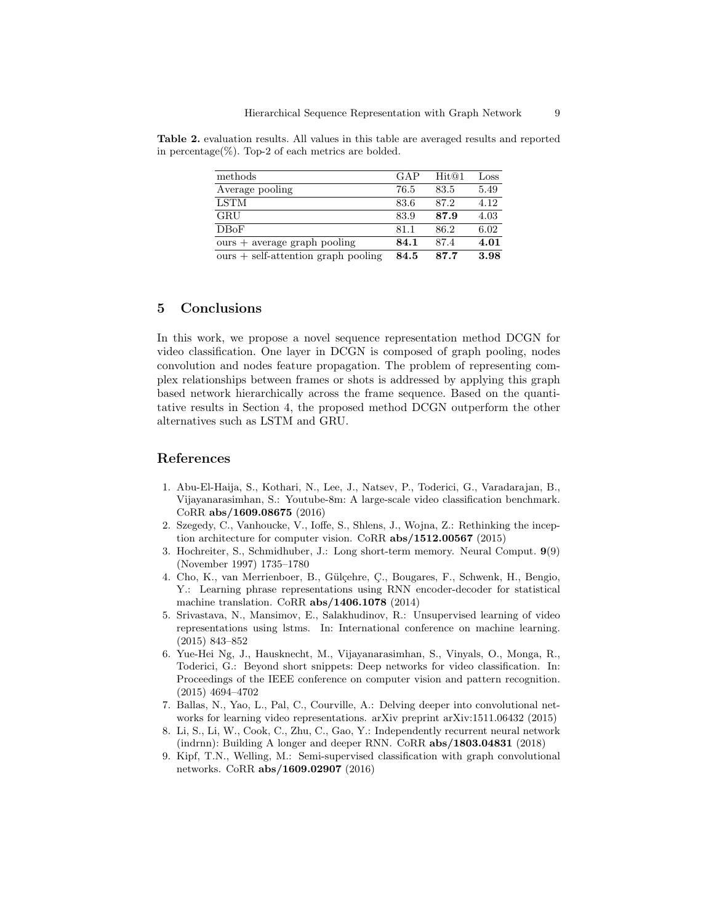| methods                               | GAP  | Hit@1 | Loss |
|---------------------------------------|------|-------|------|
| Average pooling                       | 76.5 | 83.5  | 5.49 |
| LSTM                                  | 83.6 | 87.2  | 4.12 |
| GRU                                   | 83.9 | 87.9  | 4.03 |
| DBoF                                  | 81.1 | 86.2  | 6.02 |
| $ours + average graph pooling$        | 84.1 | 87.4  | 4.01 |
| $ours + self-attention graph pooling$ | 84.5 | 87.7  | 3.98 |

Table 2. evaluation results. All values in this table are averaged results and reported in percentage(%). Top-2 of each metrics are bolded.

# 5 Conclusions

In this work, we propose a novel sequence representation method DCGN for video classification. One layer in DCGN is composed of graph pooling, nodes convolution and nodes feature propagation. The problem of representing complex relationships between frames or shots is addressed by applying this graph based network hierarchically across the frame sequence. Based on the quantitative results in Section 4, the proposed method DCGN outperform the other alternatives such as LSTM and GRU.

### References

- 1. Abu-El-Haija, S., Kothari, N., Lee, J., Natsev, P., Toderici, G., Varadarajan, B., Vijayanarasimhan, S.: Youtube-8m: A large-scale video classification benchmark. CoRR abs/1609.08675 (2016)
- 2. Szegedy, C., Vanhoucke, V., Ioffe, S., Shlens, J., Wojna, Z.: Rethinking the inception architecture for computer vision. CoRR abs/1512.00567 (2015)
- 3. Hochreiter, S., Schmidhuber, J.: Long short-term memory. Neural Comput. 9(9) (November 1997) 1735–1780
- 4. Cho, K., van Merrienboer, B., G¨ul¸cehre, C¸ ., Bougares, F., Schwenk, H., Bengio, Y.: Learning phrase representations using RNN encoder-decoder for statistical machine translation. CoRR abs/1406.1078 (2014)
- 5. Srivastava, N., Mansimov, E., Salakhudinov, R.: Unsupervised learning of video representations using lstms. In: International conference on machine learning. (2015) 843–852
- 6. Yue-Hei Ng, J., Hausknecht, M., Vijayanarasimhan, S., Vinyals, O., Monga, R., Toderici, G.: Beyond short snippets: Deep networks for video classification. In: Proceedings of the IEEE conference on computer vision and pattern recognition. (2015) 4694–4702
- 7. Ballas, N., Yao, L., Pal, C., Courville, A.: Delving deeper into convolutional networks for learning video representations. arXiv preprint arXiv:1511.06432 (2015)
- 8. Li, S., Li, W., Cook, C., Zhu, C., Gao, Y.: Independently recurrent neural network (indrnn): Building A longer and deeper RNN. CoRR  $abs/1803.04831$  (2018)
- 9. Kipf, T.N., Welling, M.: Semi-supervised classification with graph convolutional networks. CoRR abs/1609.02907 (2016)